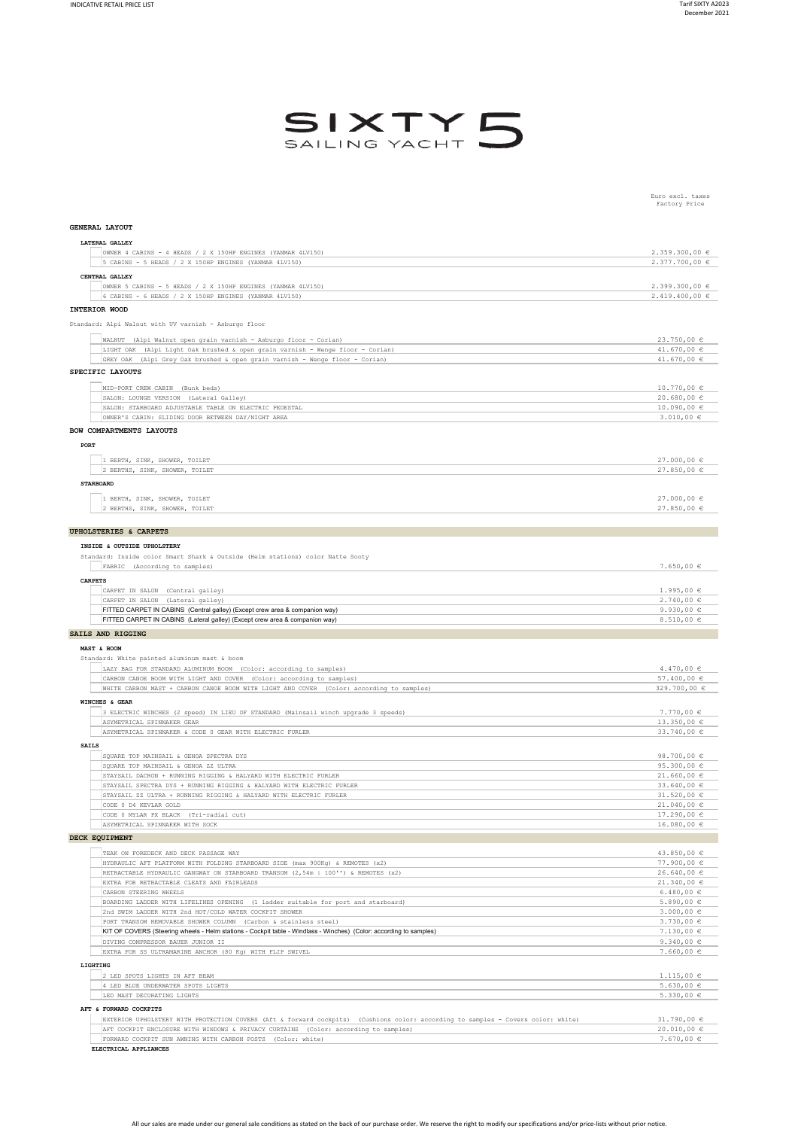Euro excl. taxes Factory Price



| GENERAL LAYOUT                                                                                                                                                                                                                            |                                  |
|-------------------------------------------------------------------------------------------------------------------------------------------------------------------------------------------------------------------------------------------|----------------------------------|
| LATERAL GALLEY                                                                                                                                                                                                                            |                                  |
| OWNER 4 CABINS - 4 HEADS / 2 X 150HP ENGINES (YANMAR 4LV150)                                                                                                                                                                              | 2.359.300,00 €                   |
| 5 CABINS - 5 HEADS / 2 X 150HP ENGINES (YANMAR 4LV150)                                                                                                                                                                                    | 2.377.700,00 €                   |
| CENTRAL GALLEY                                                                                                                                                                                                                            |                                  |
| OWNER 5 CABINS - 5 HEADS / 2 X 150HP ENGINES (YANMAR 4LV150)<br>6 CABINS - 6 HEADS / 2 X 150HP ENGINES (YANMAR 4LV150)                                                                                                                    | 2.399.300,00 €<br>2.419.400,00 € |
|                                                                                                                                                                                                                                           |                                  |
| INTERIOR WOOD                                                                                                                                                                                                                             |                                  |
| Standard: Alpi Walnut with UV varnish - Asburgo floor                                                                                                                                                                                     |                                  |
| WALNUT (Alpi Walnut open grain varnish - Asburgo floor - Corian)                                                                                                                                                                          | 23.750,00 €                      |
| LIGHT OAK (Alpi Light Oak brushed & open grain varnish - Wenge floor - Corian)                                                                                                                                                            | 41.670,00 €                      |
| GREY OAK (Alpi Grey Oak brushed & open grain varnish - Wenge floor - Corian)                                                                                                                                                              | 41.670,00 $\in$                  |
| SPECIFIC LAYOUTS                                                                                                                                                                                                                          |                                  |
| MID-PORT CREW CABIN (Bunk beds)                                                                                                                                                                                                           | 10.770,00 €                      |
| SALON: LOUNGE VERSION (Lateral Galley)                                                                                                                                                                                                    | 20.680,00 €                      |
| SALON: STARBOARD ADJUSTABLE TABLE ON ELECTRIC PEDESTAL                                                                                                                                                                                    | $10.090,00 \in$                  |
| OWNER'S CABIN: SLIDING DOOR BETWEEN DAY/NIGHT AREA                                                                                                                                                                                        | $3.010,00 \in$                   |
| BOW COMPARTMENTS LAYOUTS                                                                                                                                                                                                                  |                                  |
| PORT                                                                                                                                                                                                                                      |                                  |
|                                                                                                                                                                                                                                           |                                  |
| 1 BERTH, SINK, SHOWER, TOILET                                                                                                                                                                                                             | 27.000,00 €                      |
| 2 BERTHS, SINK, SHOWER, TOILET                                                                                                                                                                                                            | 27.850,00€                       |
| <b>STARBOARD</b>                                                                                                                                                                                                                          |                                  |
| 1 BERTH, SINK, SHOWER, TOILET                                                                                                                                                                                                             | $27.000,00 \in$                  |
| 2 BERTHS, SINK, SHOWER, TOILET                                                                                                                                                                                                            | $27.850,00 \in$                  |
|                                                                                                                                                                                                                                           |                                  |
| <b>UPHOLSTERIES &amp; CARPETS</b>                                                                                                                                                                                                         |                                  |
| INSIDE & OUTSIDE UPHOLSTERY                                                                                                                                                                                                               |                                  |
| Standard: Inside color Smart Shark & Outside (Helm stations) color Natte Sooty                                                                                                                                                            |                                  |
| FABRIC (According to samples)                                                                                                                                                                                                             | $7.650,00 \in$                   |
| <b>CARPETS</b>                                                                                                                                                                                                                            |                                  |
| CARPET IN SALON (Central galley)                                                                                                                                                                                                          | $1.995,00 \in$                   |
| CARPET IN SALON (Lateral galley)                                                                                                                                                                                                          | 2.740,00€                        |
| FITTED CARPET IN CABINS (Central galley) (Except crew area & companion way)                                                                                                                                                               | 9.930,00 $\epsilon$              |
| FITTED CARPET IN CABINS (Lateral galley) (Except crew area & companion way)                                                                                                                                                               | 8.510,00 $\epsilon$              |
| SAILS AND RIGGING                                                                                                                                                                                                                         |                                  |
|                                                                                                                                                                                                                                           |                                  |
| MAST & BOOM                                                                                                                                                                                                                               |                                  |
| Standard: White painted aluminum mast & boom                                                                                                                                                                                              |                                  |
| LAZY BAG FOR STANDARD ALUMINUM BOOM (Color: according to samples)                                                                                                                                                                         | 4.470,00 $\in$                   |
| CARBON CANOE BOOM WITH LIGHT AND COVER (Color: according to samples)                                                                                                                                                                      | 57.400,00 $\in$                  |
| WHITE CARBON MAST + CARBON CANOE BOOM WITH LIGHT AND COVER (Color: according to samples)                                                                                                                                                  | 329.700,00 €                     |
| WINCHES & GEAR                                                                                                                                                                                                                            |                                  |
| 3 ELECTRIC WINCHES (2 speed) IN LIEU OF STANDARD (Mainsail winch upgrade 3 speeds)                                                                                                                                                        | $7.770,00 \in$                   |
| ASYMETRICAL SPINNAKER GEAR                                                                                                                                                                                                                | 13.350,00 €                      |
| ASYMETRICAL SPINNAKER & CODE 0 GEAR WITH ELECTRIC FURLER                                                                                                                                                                                  | 33.740,00 €                      |
| <b>SAILS</b>                                                                                                                                                                                                                              |                                  |
| SQUARE TOP MAINSAIL & GENOA SPECTRA DYS                                                                                                                                                                                                   | 98.700,00 €                      |
| SQUARE TOP MAINSAIL & GENOA ZZ ULTRA                                                                                                                                                                                                      | 95.300,00 €                      |
| STAYSAIL DACRON + RUNNING RIGGING & HALYARD WITH ELECTRIC FURLER                                                                                                                                                                          | $21.660,00 \in$                  |
| STAYSAIL SPECTRA DYS + RUNNING RIGGING & HALYARD WITH ELECTRIC FURLER                                                                                                                                                                     | 33.640,00 €<br>31.520,00 €       |
| STAYSAIL ZZ ULTRA + RUNNING RIGGING & HALYARD WITH ELECTRIC FURLER<br>CODE 0 D4 KEVLAR GOLD                                                                                                                                               | 21.040,00 €                      |
| CODE 0 MYLAR PX BLACK (Tri-radial cut)                                                                                                                                                                                                    | 17.290,00 €                      |
| ASYMETRICAL SPINNAKER WITH SOCK                                                                                                                                                                                                           | 16.080,00 €                      |
|                                                                                                                                                                                                                                           |                                  |
|                                                                                                                                                                                                                                           |                                  |
| TEAK ON FOREDECK AND DECK PASSAGE WAY                                                                                                                                                                                                     | 43.850,00 €                      |
| HYDRAULIC AFT PLATFORM WITH FOLDING STARBOARD SIDE (max 900Kg) & REMOTES (x2)                                                                                                                                                             | 77.900,00 €                      |
| RETRACTABLE HYDRAULIC GANGWAY ON STARBOARD TRANSOM (2,54m   100'') & REMOTES (x2)<br>EXTRA FOR RETRACTABLE CLEATS AND FAIRLEADS                                                                                                           | 26.640,00 €<br>21.340,00 €       |
| CARBON STEERING WHEELS                                                                                                                                                                                                                    | 6.480,00 $\in$                   |
| BOARDING LADDER WITH LIFELINES OPENING (1 ladder suitable for port and starboard)                                                                                                                                                         | $5.890,00 \in$                   |
| 2nd SWIM LADDER WITH 2nd HOT/COLD WATER COCKPIT SHOWER                                                                                                                                                                                    | $3.000,00 \in$                   |
| PORT TRANSOM REMOVABLE SHOWER COLUMN (Carbon & stainless steel)                                                                                                                                                                           | $3.730,00 \in$                   |
| KIT OF COVERS (Steering wheels - Helm stations - Cockpit table - Windlass - Winches) (Color: according to samples)                                                                                                                        | $7.130,00 \in$                   |
| DIVING COMPRESSOR BAUER JUNIOR II                                                                                                                                                                                                         | 9.340,00 $\in$                   |
| EXTRA FOR SS ULTRAMARINE ANCHOR (80 Kg) WITH FLIP SWIVEL                                                                                                                                                                                  | $7.660,00 \in$                   |
| LIGHTING                                                                                                                                                                                                                                  |                                  |
| 2 LED SPOTS LIGHTS IN AFT BEAM                                                                                                                                                                                                            | $1.115,00 \in$                   |
| 4 LED BLUE UNDERWATER SPOTS LIGHTS<br>LED MAST DECORATING LIGHTS                                                                                                                                                                          | $5.630,00 \in$                   |
|                                                                                                                                                                                                                                           | $5.330,00 \in$                   |
| AFT & FORWARD COCKPITS                                                                                                                                                                                                                    |                                  |
| DECK EOUIPMENT<br>EXTERIOR UPHOLSTERY WITH PROTECTION COVERS (Aft & forward cockpits) (Cushions color: according to samples - Covers color: white)<br>AFT COCKPIT ENCLOSURE WITH WINDOWS & PRIVACY CURTAINS (Color: according to samples) | 31.790,00 $\in$<br>20.010,00 €   |

**ELECTRICAL APPLIANCES**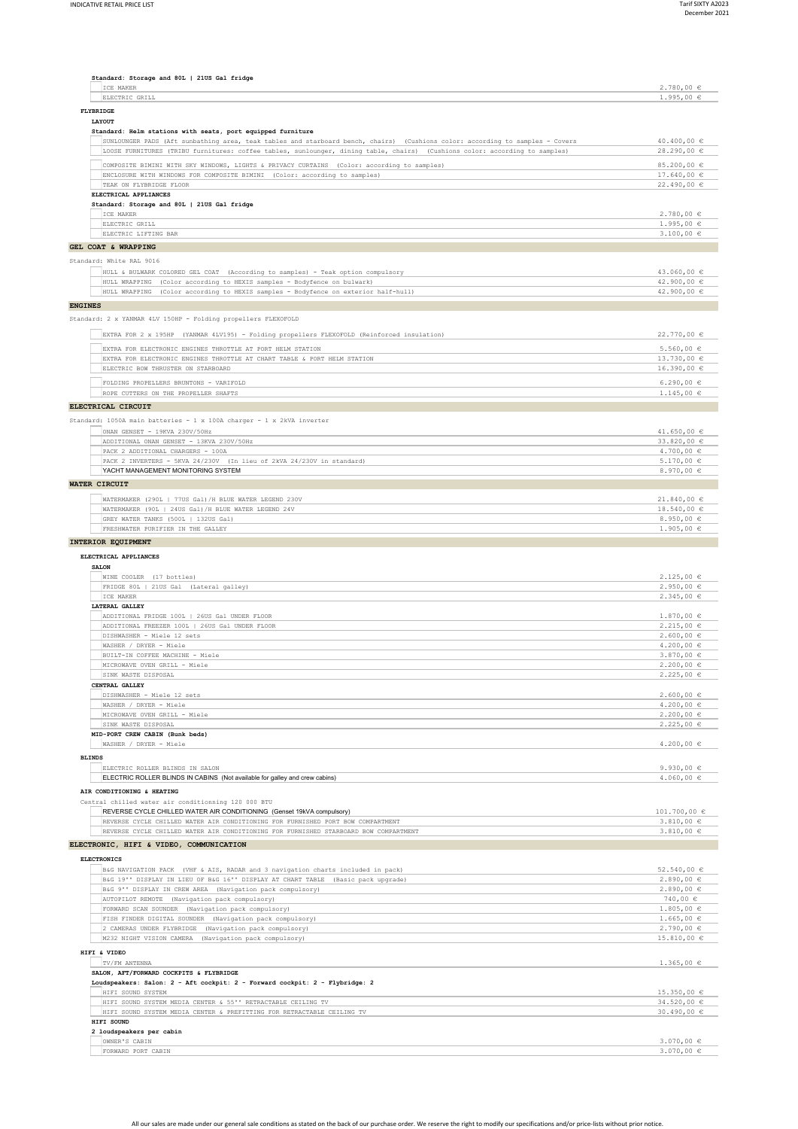| Standard: Storage and 80L   21US Gal fridge<br>ICE MAKER                                                                                                                                                                                                     | 2.780,00 ∈                       |
|--------------------------------------------------------------------------------------------------------------------------------------------------------------------------------------------------------------------------------------------------------------|----------------------------------|
| ELECTRIC GRILL                                                                                                                                                                                                                                               | $1.995,00 \in$                   |
| <b>FLYBRIDGE</b>                                                                                                                                                                                                                                             |                                  |
| <b>T.AVOUP</b><br>Standard: Helm stations with seats, port equipped furniture                                                                                                                                                                                |                                  |
| SUNLOUNGER PADS (Aft sunbathing area, teak tables and starboard bench, chairs) (Cushions color: according to samples - Covers<br>LOOSE FURNITURES (TRIBU furnitures: coffee tables, sunlounger, dining table, chairs) (Cushions color: according to samples) | 40.400,00 €<br>28.290,00 €       |
| COMPOSITE BIMINI WITH SKY WINDOWS, LIGHTS & PRIVACY CURTAINS (Color: according to samples)                                                                                                                                                                   | 85.200,00 €                      |
| ENCLOSURE WITH WINDOWS FOR COMPOSITE BIMINI (Color: according to samples)                                                                                                                                                                                    | $17.640,00 \in$                  |
| TEAK ON FLYBRIDGE FLOOR                                                                                                                                                                                                                                      | 22.490,00 €                      |
| ELECTRICAL APPLIANCES                                                                                                                                                                                                                                        |                                  |
| Standard: Storage and 80L   21US Gal fridge<br>ICE MAKER                                                                                                                                                                                                     | 2.780,00 ∈                       |
| ELECTRIC GRILL                                                                                                                                                                                                                                               | $1.995,00 \in$                   |
| ELECTRIC LIFTING BAR                                                                                                                                                                                                                                         | $3.100,00 \in$                   |
| GEL COAT & WRAPPING                                                                                                                                                                                                                                          |                                  |
| Standard: White RAL 9016                                                                                                                                                                                                                                     |                                  |
| HULL & BULWARK COLORED GEL COAT (According to samples) - Teak option compulsory                                                                                                                                                                              | 43.060,00 €                      |
| HULL WRAPPING (Color according to HEXIS samples - Bodyfence on bulwark)                                                                                                                                                                                      | 42.900,00 €                      |
| HULL WRAPPING (Color according to HEXIS samples - Bodyfence on exterior half-hull)                                                                                                                                                                           | 42.900,00 €                      |
| <b>ENGINES</b><br>Standard: 2 x YANMAR 4LV 150HP - Folding propellers FLEXOFOLD                                                                                                                                                                              |                                  |
| EXTRA FOR 2 x 195HP (YANMAR 4LV195) - Folding propellers FLEXOFOLD (Reinforced insulation)                                                                                                                                                                   | 22.770,00 €                      |
| EXTRA FOR ELECTRONIC ENGINES THROTTLE AT PORT HELM STATION                                                                                                                                                                                                   | $5.560,00 \in$                   |
| EXTRA FOR ELECTRONIC ENGINES THROTTLE AT CHART TABLE & PORT HELM STATION                                                                                                                                                                                     | 13.730,00 €                      |
| ELECTRIC BOW THRUSTER ON STARBOARD                                                                                                                                                                                                                           | 16.390,00 €                      |
| FOLDING PROPELLERS BRUNTONS - VARIFOLD                                                                                                                                                                                                                       | 6.290,00 $\in$                   |
| ROPE CUTTERS ON THE PROPELLER SHAFTS                                                                                                                                                                                                                         | $1.145,00 \in$                   |
| ELECTRICAL CIRCUIT                                                                                                                                                                                                                                           |                                  |
| Standard: 1050A main batteries - 1 x 100A charger - 1 x 2kVA inverter                                                                                                                                                                                        |                                  |
| ONAN GENSET - 19KVA 230V/50Hz                                                                                                                                                                                                                                | 41.650,00 $\in$                  |
| ADDITIONAL ONAN GENSET - 13KVA 230V/50Hz                                                                                                                                                                                                                     | 33.820,00 €                      |
| PACK 2 ADDITIONAL CHARGERS - 100A<br>PACK 2 INVERTERS - 5KVA 24/230V (In lieu of 2kVA 24/230V in standard)                                                                                                                                                   | $4.700,00 \in$<br>$5.170,00 \in$ |
| YACHT MANAGEMENT MONITORING SYSTEM                                                                                                                                                                                                                           | 8.970,00 €                       |
| WATER CIRCUIT                                                                                                                                                                                                                                                |                                  |
| WATERMAKER (290L   77US Gal) /H BLUE WATER LEGEND 230V                                                                                                                                                                                                       | 21.840,00 €                      |
| WATERMAKER (90L   24US Gal) / H BLUE WATER LEGEND 24V                                                                                                                                                                                                        | 18.540,00 €                      |
| GREY WATER TANKS (500L   132US Gal)                                                                                                                                                                                                                          | 8.950,00 €                       |
| FRESHWATER PURIFIER IN THE GALLEY                                                                                                                                                                                                                            | $1.905,00 \in$                   |
| INTERIOR EQUIPMENT                                                                                                                                                                                                                                           |                                  |
| ELECTRICAL APPLIANCES<br><b>SALON</b>                                                                                                                                                                                                                        |                                  |
| WINE COOLER (17 bottles)                                                                                                                                                                                                                                     | $2.125,00 \in$                   |
| FRIDGE 80L   21US Gal (Lateral galley)<br>ICE MAKER                                                                                                                                                                                                          | $2.950,00$ €<br>2.345,00€        |
| LATERAL GALLEY                                                                                                                                                                                                                                               |                                  |
| ADDITIONAL FRIDGE 100L   26US Gal UNDER FLOOR                                                                                                                                                                                                                | $1.870,00 \in$                   |
| ADDITIONAL FREEZER 100L   26US Gal UNDER FLOOR                                                                                                                                                                                                               | $2.215,00 \in$                   |
| DISHWASHER - Miele 12 sets                                                                                                                                                                                                                                   | $2.600,00 \in$                   |
| WASHER / DRYER - Miele<br>BUILT-IN COFFEE MACHINE - Miele                                                                                                                                                                                                    | 4.200,00 $\in$<br>$3.870,00 \in$ |
| MICROWAVE OVEN GRILL - Miele                                                                                                                                                                                                                                 | $2.200,00$ €                     |
| SINK WASTE DISPOSAL                                                                                                                                                                                                                                          | $2.225.00 \in$                   |
| CENTRAL GALLEY                                                                                                                                                                                                                                               |                                  |
| DISHWASHER - Miele 12 sets                                                                                                                                                                                                                                   | $2.600,00$ €<br>$4.200,00 \in$   |
| WASHER / DRYER - Miele<br>MICROWAVE OVEN GRILL - Miele                                                                                                                                                                                                       | $2.200,00$ €                     |
| SINK WASTE DISPOSAL                                                                                                                                                                                                                                          | 2.225,00€                        |
| MID-PORT CREW CABIN (Bunk beds)                                                                                                                                                                                                                              |                                  |
| WASHER / DRYER - Miele                                                                                                                                                                                                                                       | $4.200,00 \in$                   |
| <b>BLINDS</b>                                                                                                                                                                                                                                                |                                  |
| ELECTRIC ROLLER BLINDS IN SALON<br>ELECTRIC ROLLER BLINDS IN CABINS (Not available for galley and crew cabins)                                                                                                                                               | 9.930,00 $\in$<br>$4.060,00 \in$ |
|                                                                                                                                                                                                                                                              |                                  |
| AIR CONDITIONING & HEATING<br>Central chilled water air conditionning 120 000 BTU                                                                                                                                                                            |                                  |
| REVERSE CYCLE CHILLED WATER AIR CONDITIONING (Genset 19kVA compulsory)                                                                                                                                                                                       | 101.700,00 €                     |
| REVERSE CYCLE CHILLED WATER AIR CONDITIONING FOR FURNISHED PORT BOW COMPARTMENT                                                                                                                                                                              | $3.810,00 \in$                   |
| REVERSE CYCLE CHILLED WATER AIR CONDITIONING FOR FURNISHED STARBOARD BOW COMPARTMENT                                                                                                                                                                         | 3.810,00 €                       |
| ELECTRONIC, HIFI & VIDEO, COMMUNICATION                                                                                                                                                                                                                      |                                  |
| <b>ELECTRONICS</b>                                                                                                                                                                                                                                           |                                  |
| B&G NAVIGATION PACK (VHF & AIS, RADAR and 3 navigation charts included in pack)                                                                                                                                                                              | 52.540,00 €                      |
| B&G 19'' DISPLAY IN LIEU OF B&G 16'' DISPLAY AT CHART TABLE (Basic pack upgrade)<br>B&G 9'' DISPLAY IN CREW AREA (Navigation pack compulsory)                                                                                                                | $2.890,00 \in$<br>$2.890,00 \in$ |
| AUTOPILOT REMOTE (Navigation pack compulsory)                                                                                                                                                                                                                | 740,00 €                         |
| FORWARD SCAN SOUNDER (Navigation pack compulsory)                                                                                                                                                                                                            | $1.805,00 \in$                   |
| FISH FINDER DIGITAL SOUNDER (Navigation pack compulsory)                                                                                                                                                                                                     | $1.665,00 \in$                   |
| 2 CAMERAS UNDER FLYBRIDGE (Navigation pack compulsory)                                                                                                                                                                                                       | $2.790,00 \in$                   |
| M232 NIGHT VISION CAMERA (Navigation pack compulsory)                                                                                                                                                                                                        | 15.810,00 €                      |
| HIFI & VIDEO                                                                                                                                                                                                                                                 |                                  |
| TV/FM ANTENNA<br>SALON, AFT/FORWARD COCKPITS & FLYBRIDGE                                                                                                                                                                                                     | $1.365,00 \in$                   |
| Loudspeakers: Salon: 2 - Aft cockpit: 2 - Forward cockpit: 2 - Flybridge: 2                                                                                                                                                                                  |                                  |
| HIFI SOUND SYSTEM                                                                                                                                                                                                                                            | 15.350,00 €                      |
| HIFI SOUND SYSTEM MEDIA CENTER & 55" RETRACTABLE CEILING TV<br>HIFI SOUND SYSTEM MEDIA CENTER & PREFITTING FOR RETRACTABLE CEILING TV                                                                                                                        | 34.520,00 €<br>30.490,00 €       |
| HIFI SOUND                                                                                                                                                                                                                                                   |                                  |
| 2 loudspeakers per cabin                                                                                                                                                                                                                                     |                                  |
| OWNER'S CABIN<br>FORWARD PORT CABIN                                                                                                                                                                                                                          | 3.070,00 €<br>3.070,00 €         |
|                                                                                                                                                                                                                                                              |                                  |